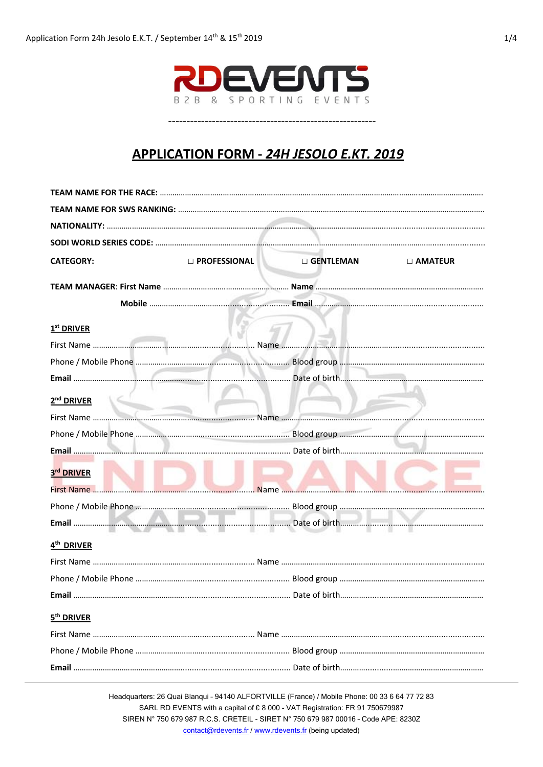

## APPLICATION FORM - 24H JESOLO E.KT. 2019

| <b>CATEGORY:</b>                     | <b>D</b> PROFESSIONAL | $\square$ GENTLEMAN | <b>D AMATEUR</b> |
|--------------------------------------|-----------------------|---------------------|------------------|
|                                      |                       |                     |                  |
|                                      |                       |                     |                  |
| 1 <sup>st</sup> DRIVER               |                       |                     |                  |
|                                      |                       |                     |                  |
|                                      |                       |                     |                  |
|                                      |                       |                     |                  |
| 2 <sup>nd</sup> DRIVER<br>$\sim$ $-$ |                       |                     |                  |
|                                      |                       |                     |                  |
|                                      |                       |                     |                  |
|                                      |                       |                     |                  |
| 3rd DRIVER                           |                       |                     |                  |
|                                      |                       |                     |                  |
|                                      |                       |                     |                  |
|                                      |                       |                     |                  |
| 4 <sup>th</sup> DRIVER               |                       |                     |                  |
|                                      |                       |                     |                  |
|                                      |                       |                     |                  |
|                                      |                       |                     |                  |
| 5 <sup>th</sup> DRIVER               |                       |                     |                  |
|                                      |                       |                     |                  |
|                                      |                       |                     |                  |
|                                      |                       |                     |                  |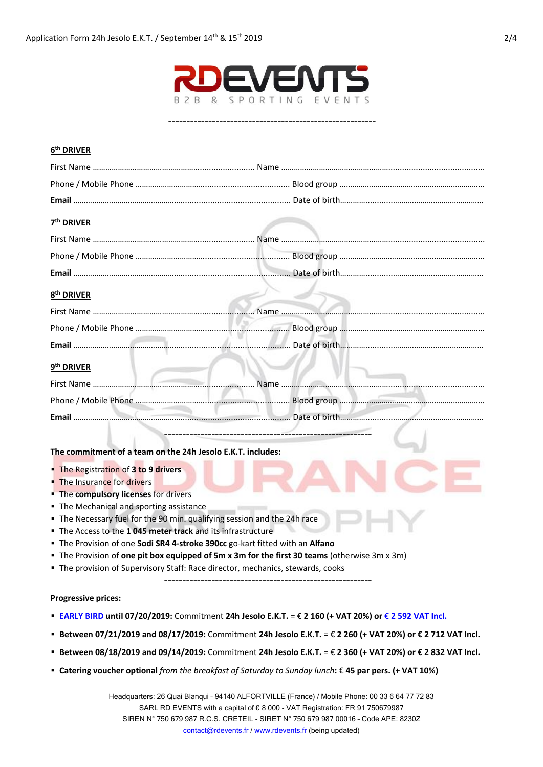

---------------------------------------------------------

## **6 th DRIVER**

| 7 <sup>th</sup> DRIVER                                                                                             |                                                                             |
|--------------------------------------------------------------------------------------------------------------------|-----------------------------------------------------------------------------|
|                                                                                                                    | First Name ……………………………………………………………… Name ………………………………………………………………………………………… |
|                                                                                                                    |                                                                             |
|                                                                                                                    |                                                                             |
| 8 <sup>th</sup> DRIVER                                                                                             |                                                                             |
|                                                                                                                    |                                                                             |
|                                                                                                                    |                                                                             |
|                                                                                                                    |                                                                             |
| 9 <sup>th</sup> DRIVER                                                                                             |                                                                             |
|                                                                                                                    |                                                                             |
|                                                                                                                    |                                                                             |
|                                                                                                                    |                                                                             |
|                                                                                                                    |                                                                             |
| The commitment of a team on the 24h Jesolo E.K.T. includes:                                                        |                                                                             |
| The Registration of 3 to 9 drivers                                                                                 |                                                                             |
| • The Insurance for drivers                                                                                        |                                                                             |
| • The compulsory licenses for drivers                                                                              |                                                                             |
| " The Mechanical and sporting assistance<br>The Necessary fuel for the 90 min. qualifying session and the 24h race |                                                                             |
| The Access to the 1045 meter track and its infrastructure                                                          |                                                                             |
| The Provision of one Sodi SR4 4-stroke 390cc go-kart fitted with an Alfano                                         |                                                                             |
| The Provision of one pit box equipped of 5m x 3m for the first 30 teams (otherwise 3m x 3m)                        |                                                                             |
| " The provision of Supervisory Staff: Race director, mechanics, stewards, cooks                                    |                                                                             |
|                                                                                                                    |                                                                             |
|                                                                                                                    |                                                                             |

## **Progressive prices:**

- **EARLY BIRD until 07/20/2019:** Commitment **24h Jesolo E.K.T.** = € **2 160 (+ VAT 20%) or** € **2 592 VAT Incl.**
- **Between 07/21/2019 and 08/17/2019:** Commitment **24h Jesolo E.K.T.** = € **2 260 (+ VAT 20%) or € 2 712 VAT Incl.**
- **Between 08/18/2019 and 09/14/2019:** Commitment **24h Jesolo E.K.T.** = € **2 360 (+ VAT 20%) or € 2 832 VAT Incl.**
- **Catering voucher optional** *from the breakfast of Saturday to Sunday lunch***:** € **45 par pers. (+ VAT 10%)**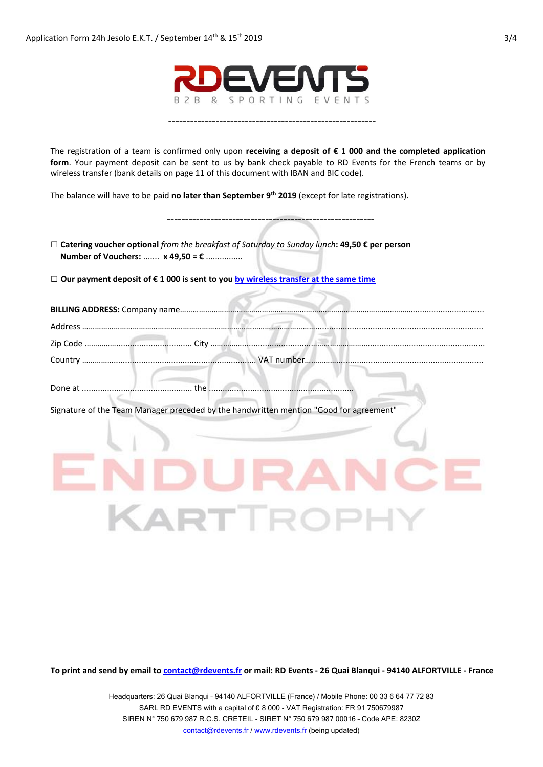

---------------------------------------------------------

The registration of a team is confirmed only upon **receiving a deposit of € 1 000 and the completed application form**. Your payment deposit can be sent to us by bank check payable to RD Events for the French teams or by wireless transfer (bank details on page 11 of this document with IBAN and BIC code).

The balance will have to be paid **no later than September 9 th 2019** (except for late registrations).

| □ Catering voucher optional from the breakfast of Saturday to Sunday lunch: 49,50 € per person<br>Number of Vouchers:  x 49,50 = € |       |
|------------------------------------------------------------------------------------------------------------------------------------|-------|
| □ Our payment deposit of $\epsilon$ 1 000 is sent to you by wireless transfer at the same time                                     |       |
|                                                                                                                                    |       |
|                                                                                                                                    |       |
|                                                                                                                                    |       |
|                                                                                                                                    |       |
|                                                                                                                                    |       |
| Signature of the Team Manager preceded by the handwritten mention "Good for agreement"                                             |       |
|                                                                                                                                    |       |
|                                                                                                                                    |       |
|                                                                                                                                    | EIPOI |

**To print and send by email to contact@rdevents.fr or mail: RD Events - 26 Quai Blanqui - 94140 ALFORTVILLE - France**